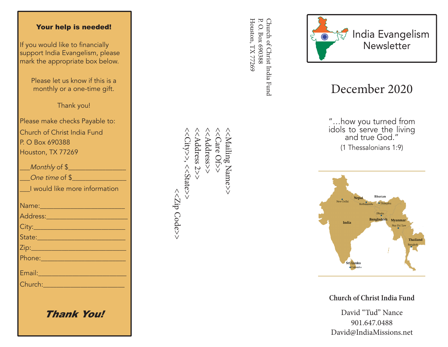## Your help is needed!

If you would like to financially support India Evangelism, please mark the appropriate box below.

> Please let us know if this is a monthly or a one-time gift.

> > Thank you!

Please make checks Payable to: Church of Christ India Fund P. O Box 690388 Houston, TX 77269

| Monthly of \$                                                                                                  |
|----------------------------------------------------------------------------------------------------------------|
| One time of \$                                                                                                 |
| I would like more information                                                                                  |
|                                                                                                                |
| Name: 2008 - 2008 - 2010 - 2010 - 2011 - 2012 - 2012 - 2012 - 2014 - 2012 - 2012 - 2014 - 2014 - 2014 - 2014 - |
| Address: 2008 - 2008 - 2010 - 2010 - 2010 - 2011 - 2012 - 2012 - 2014 - 2016 - 2017 - 2018 - 2019 - 2019 - 20  |
|                                                                                                                |
| State: 2008 - 2010 - 2010 - 2010 - 2011 - 2012 - 2012 - 2012 - 2014 - 2012 - 2014 - 2014 - 2014 - 2014 - 2014  |
|                                                                                                                |
|                                                                                                                |
| Email: 2008 - 2009 - 2010 - 2010 - 2010 - 2011 - 2012 - 2012 - 2012 - 2012 - 2012 - 2012 - 2012 - 2012 - 2012  |
| Church: 2008 2009 2010 2021 2022 2023                                                                          |
|                                                                                                                |
|                                                                                                                |
| Thank You!                                                                                                     |

<<<br />
Address>> <<City>>, <<State>>  $<<$ City>>, << $<$ State>> <<Address 2>> <<Address 2>> <<Address>> <<Care Of>> <<Mailing Name>> <<Mailing Name>> <<<br />
Code>> <<Zip Code>>

Houston, TX 77269 Church of Christ India Fund<br>P. O. Box 690388 Houston, TX 77269 P. O. Box 690388 Church of Christ India Fund



## December 2020

"…how you turned from idols to serve the living and true God." (1 Thessalonians 1:9)



**Church of Christ India Fund**

David "Tud" Nance 901.647.0488 David@IndiaMissions.net